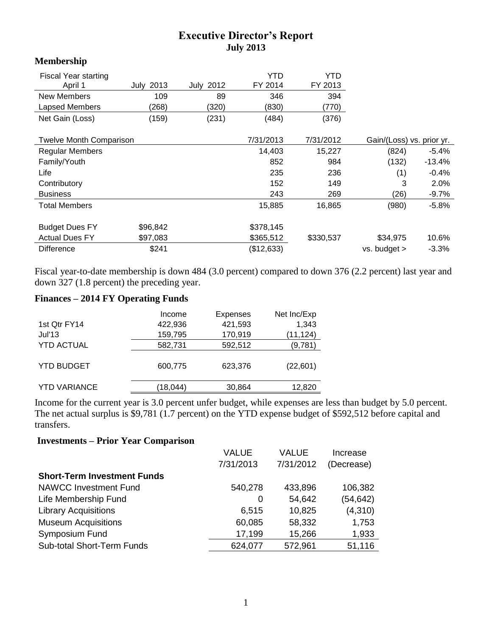## **Executive Director's Report July 2013**

## **Membership**

| <b>Fiscal Year starting</b><br>April 1 | <b>July 2013</b> | <b>July 2012</b> | YTD<br>FY 2014 | YTD<br>FY 2013 |                           |          |
|----------------------------------------|------------------|------------------|----------------|----------------|---------------------------|----------|
| New Members                            | 109              | 89               | 346            | 394            |                           |          |
| Lapsed Members                         | (268)            | (320)            | (830)          | (770)          |                           |          |
| Net Gain (Loss)                        | (159)            | (231)            | (484)          | (376)          |                           |          |
| <b>Twelve Month Comparison</b>         |                  |                  | 7/31/2013      | 7/31/2012      | Gain/(Loss) vs. prior yr. |          |
|                                        |                  |                  |                |                |                           |          |
| <b>Regular Members</b>                 |                  |                  | 14,403         | 15,227         | (824)                     | $-5.4%$  |
| Family/Youth                           |                  |                  | 852            | 984            | (132)                     | $-13.4%$ |
| Life                                   |                  |                  | 235            | 236            | (1)                       | $-0.4\%$ |
| Contributory                           |                  |                  | 152            | 149            | 3                         | 2.0%     |
| <b>Business</b>                        |                  |                  | 243            | 269            | (26)                      | -9.7%    |
| <b>Total Members</b>                   |                  |                  | 15,885         | 16,865         | (980)                     | $-5.8%$  |
| <b>Budget Dues FY</b>                  | \$96,842         |                  | \$378,145      |                |                           |          |
| <b>Actual Dues FY</b>                  | \$97,083         |                  | \$365,512      | \$330,537      | \$34,975                  | 10.6%    |
| <b>Difference</b>                      | \$241            |                  | (\$12,633)     |                | $vs.$ budget $>$          | $-3.3%$  |

Fiscal year-to-date membership is down 484 (3.0 percent) compared to down 376 (2.2 percent) last year and down 327 (1.8 percent) the preceding year.

## **Finances – 2014 FY Operating Funds**

|                     | Income   | <b>Expenses</b> | Net Inc/Exp |
|---------------------|----------|-----------------|-------------|
| 1st Qtr FY14        | 422,936  | 421,593         | 1,343       |
| Jul'13              | 159,795  | 170,919         | (11, 124)   |
| <b>YTD ACTUAL</b>   | 582,731  | 592,512         | (9,781)     |
| <b>YTD BUDGET</b>   | 600,775  | 623,376         | (22,601)    |
| <b>YTD VARIANCE</b> | (18,044) | 30,864          | 12,820      |
|                     |          |                 |             |

Income for the current year is 3.0 percent unfer budget, while expenses are less than budget by 5.0 percent. The net actual surplus is \$9,781 (1.7 percent) on the YTD expense budget of \$592,512 before capital and transfers.

## **Investments – Prior Year Comparison**

|                                    | <b>VALUE</b> | <b>VALUE</b> | Increase   |
|------------------------------------|--------------|--------------|------------|
|                                    | 7/31/2013    | 7/31/2012    | (Decrease) |
| <b>Short-Term Investment Funds</b> |              |              |            |
| <b>NAWCC Investment Fund</b>       | 540,278      | 433,896      | 106,382    |
| Life Membership Fund               | 0            | 54,642       | (54, 642)  |
| <b>Library Acquisitions</b>        | 6,515        | 10,825       | (4,310)    |
| <b>Museum Acquisitions</b>         | 60,085       | 58,332       | 1,753      |
| Symposium Fund                     | 17,199       | 15,266       | 1,933      |
| <b>Sub-total Short-Term Funds</b>  | 624,077      | 572,961      | 51,116     |